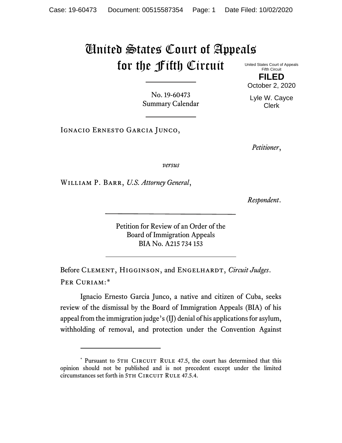## United States Court of Appeals for the Fifth Circuit

United States Court of Appeals Fifth Circuit **FILED**

October 2, 2020

Lyle W. Cayce Clerk

No. 19-60473 Summary Calendar

Ignacio Ernesto Garcia Junco,

*Petitioner*,

*versus*

William P. Barr, *U.S. Attorney General*,

*Respondent*.

Petition for Review of an Order of the Board of Immigration Appeals BIA No. A215 734 153

Before CLEMENT, HIGGINSON, and ENGELHARDT, *Circuit Judges*. Per Curiam:[\\*](#page-0-0)

Ignacio Ernesto Garcia Junco, a native and citizen of Cuba, seeks review of the dismissal by the Board of Immigration Appeals (BIA) of his appeal from the immigration judge's (IJ) denial of his applications for asylum, withholding of removal, and protection under the Convention Against

<span id="page-0-0"></span><sup>\*</sup> Pursuant to 5TH CIRCUIT RULE 47.5, the court has determined that this opinion should not be published and is not precedent except under the limited circumstances set forth in 5TH CIRCUIT RULE 47.5.4.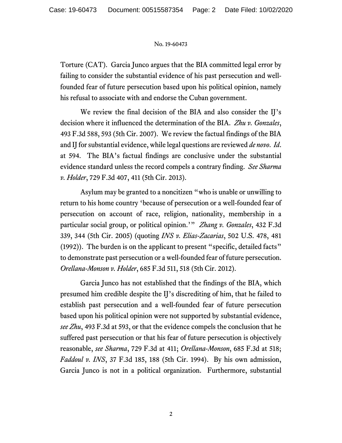## No. 19-60473

Torture (CAT). Garcia Junco argues that the BIA committed legal error by failing to consider the substantial evidence of his past persecution and wellfounded fear of future persecution based upon his political opinion, namely his refusal to associate with and endorse the Cuban government.

We review the final decision of the BIA and also consider the IJ's decision where it influenced the determination of the BIA. *Zhu v. Gonzales*, 493 F.3d 588, 593 (5th Cir. 2007). We review the factual findings of the BIA and IJ for substantial evidence, while legal questions are reviewed *de novo*. *Id*. at 594. The BIA's factual findings are conclusive under the substantial evidence standard unless the record compels a contrary finding. *See Sharma v. Holder*, 729 F.3d 407, 411 (5th Cir. 2013).

Asylum may be granted to a noncitizen "who is unable or unwilling to return to his home country 'because of persecution or a well-founded fear of persecution on account of race, religion, nationality, membership in a particular social group, or political opinion.'" *Zhang v. Gonzales*, 432 F.3d 339, 344 (5th Cir. 2005) (quoting *INS v. Elias-Zacarias*, 502 U.S. 478, 481 (1992)). The burden is on the applicant to present "specific, detailed facts" to demonstrate past persecution or a well-founded fear of future persecution. *Orellana-Monson v. Holder*, 685 F.3d 511, 518 (5th Cir. 2012).

Garcia Junco has not established that the findings of the BIA, which presumed him credible despite the IJ's discrediting of him, that he failed to establish past persecution and a well-founded fear of future persecution based upon his political opinion were not supported by substantial evidence, *see Zhu*, 493 F.3d at 593, or that the evidence compels the conclusion that he suffered past persecution or that his fear of future persecution is objectively reasonable, *see Sharma*, 729 F.3d at 411; *Orellana-Monson*, 685 F.3d at 518; *Faddoul v. INS*, 37 F.3d 185, 188 (5th Cir. 1994). By his own admission, Garcia Junco is not in a political organization. Furthermore, substantial